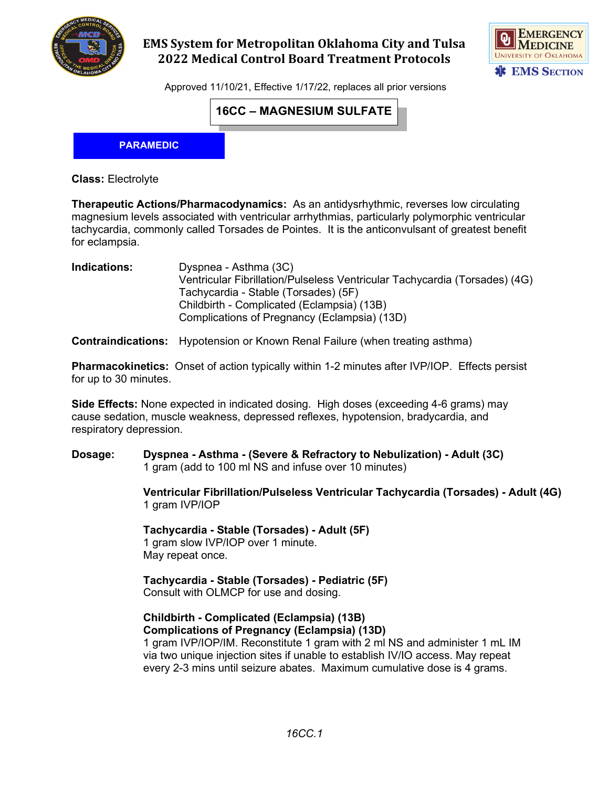

## **EMS System for Metropolitan Oklahoma City and Tulsa 2022 Medical Control Board Treatment Protocols**



Approved 11/10/21, Effective 1/17/22, replaces all prior versions

### **16CC – MAGNESIUM SULFATE**

**PARAMEDIC**

**Class:** Electrolyte

**Therapeutic Actions/Pharmacodynamics:** As an antidysrhythmic, reverses low circulating magnesium levels associated with ventricular arrhythmias, particularly polymorphic ventricular tachycardia, commonly called Torsades de Pointes. It is the anticonvulsant of greatest benefit for eclampsia.

**Indications:** Dyspnea - Asthma (3C) Ventricular Fibrillation/Pulseless Ventricular Tachycardia (Torsades) (4G) Tachycardia - Stable (Torsades) (5F) Childbirth - Complicated (Eclampsia) (13B) Complications of Pregnancy (Eclampsia) (13D)

**Contraindications:** Hypotension or Known Renal Failure (when treating asthma)

**Pharmacokinetics:** Onset of action typically within 1-2 minutes after IVP/IOP. Effects persist for up to 30 minutes.

**Side Effects:** None expected in indicated dosing. High doses (exceeding 4-6 grams) may cause sedation, muscle weakness, depressed reflexes, hypotension, bradycardia, and respiratory depression.

**Dosage: Dyspnea - Asthma - (Severe & Refractory to Nebulization) - Adult (3C)** 1 gram (add to 100 ml NS and infuse over 10 minutes)

> **Ventricular Fibrillation/Pulseless Ventricular Tachycardia (Torsades) - Adult (4G)** 1 gram IVP/IOP

**Tachycardia - Stable (Torsades) - Adult (5F)** 1 gram slow IVP/IOP over 1 minute. May repeat once.

**Tachycardia - Stable (Torsades) - Pediatric (5F)** Consult with OLMCP for use and dosing.

#### **Childbirth - Complicated (Eclampsia) (13B) Complications of Pregnancy (Eclampsia) (13D)**

1 gram IVP/IOP/IM. Reconstitute 1 gram with 2 ml NS and administer 1 mL IM via two unique injection sites if unable to establish IV/IO access. May repeat every 2-3 mins until seizure abates. Maximum cumulative dose is 4 grams.